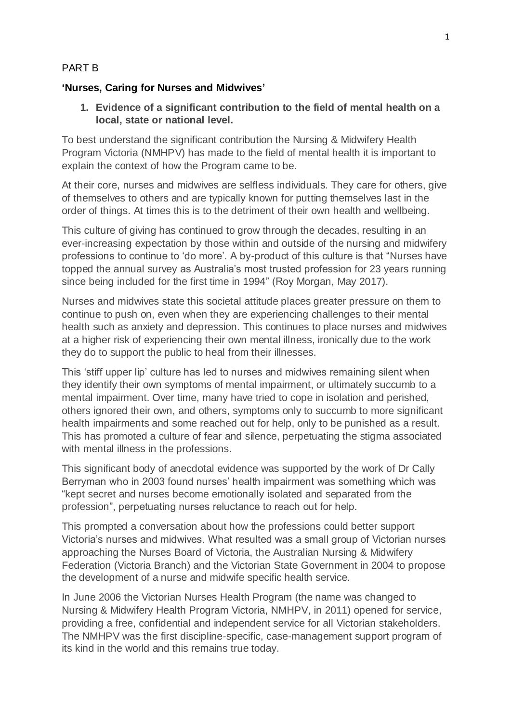#### PART B

#### **'Nurses, Caring for Nurses and Midwives'**

**1. Evidence of a significant contribution to the field of mental health on a local, state or national level.**

To best understand the significant contribution the Nursing & Midwifery Health Program Victoria (NMHPV) has made to the field of mental health it is important to explain the context of how the Program came to be.

At their core, nurses and midwives are selfless individuals. They care for others, give of themselves to others and are typically known for putting themselves last in the order of things. At times this is to the detriment of their own health and wellbeing.

This culture of giving has continued to grow through the decades, resulting in an ever-increasing expectation by those within and outside of the nursing and midwifery professions to continue to 'do more'. A by-product of this culture is that "Nurses have topped the annual survey as Australia's most trusted profession for 23 years running since being included for the first time in 1994" (Roy Morgan, May 2017).

Nurses and midwives state this societal attitude places greater pressure on them to continue to push on, even when they are experiencing challenges to their mental health such as anxiety and depression. This continues to place nurses and midwives at a higher risk of experiencing their own mental illness, ironically due to the work they do to support the public to heal from their illnesses.

This 'stiff upper lip' culture has led to nurses and midwives remaining silent when they identify their own symptoms of mental impairment, or ultimately succumb to a mental impairment. Over time, many have tried to cope in isolation and perished, others ignored their own, and others, symptoms only to succumb to more significant health impairments and some reached out for help, only to be punished as a result. This has promoted a culture of fear and silence, perpetuating the stigma associated with mental illness in the professions.

This significant body of anecdotal evidence was supported by the work of Dr Cally Berryman who in 2003 found nurses' health impairment was something which was "kept secret and nurses become emotionally isolated and separated from the profession", perpetuating nurses reluctance to reach out for help.

This prompted a conversation about how the professions could better support Victoria's nurses and midwives. What resulted was a small group of Victorian nurses approaching the Nurses Board of Victoria, the Australian Nursing & Midwifery Federation (Victoria Branch) and the Victorian State Government in 2004 to propose the development of a nurse and midwife specific health service.

In June 2006 the Victorian Nurses Health Program (the name was changed to Nursing & Midwifery Health Program Victoria, NMHPV, in 2011) opened for service, providing a free, confidential and independent service for all Victorian stakeholders. The NMHPV was the first discipline-specific, case-management support program of its kind in the world and this remains true today.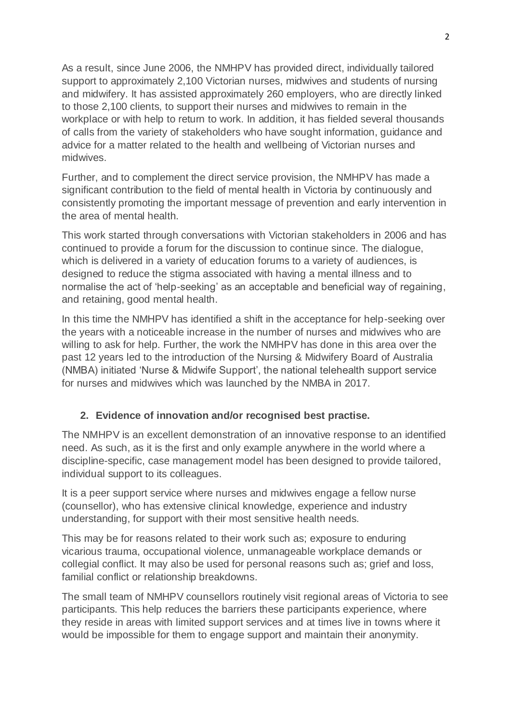As a result, since June 2006, the NMHPV has provided direct, individually tailored support to approximately 2,100 Victorian nurses, midwives and students of nursing and midwifery. It has assisted approximately 260 employers, who are directly linked to those 2,100 clients, to support their nurses and midwives to remain in the workplace or with help to return to work. In addition, it has fielded several thousands of calls from the variety of stakeholders who have sought information, guidance and advice for a matter related to the health and wellbeing of Victorian nurses and midwives.

Further, and to complement the direct service provision, the NMHPV has made a significant contribution to the field of mental health in Victoria by continuously and consistently promoting the important message of prevention and early intervention in the area of mental health.

This work started through conversations with Victorian stakeholders in 2006 and has continued to provide a forum for the discussion to continue since. The dialogue, which is delivered in a variety of education forums to a variety of audiences, is designed to reduce the stigma associated with having a mental illness and to normalise the act of 'help-seeking' as an acceptable and beneficial way of regaining, and retaining, good mental health.

In this time the NMHPV has identified a shift in the acceptance for help-seeking over the years with a noticeable increase in the number of nurses and midwives who are willing to ask for help. Further, the work the NMHPV has done in this area over the past 12 years led to the introduction of the Nursing & Midwifery Board of Australia (NMBA) initiated 'Nurse & Midwife Support', the national telehealth support service for nurses and midwives which was launched by the NMBA in 2017.

## **2. Evidence of innovation and/or recognised best practise.**

The NMHPV is an excellent demonstration of an innovative response to an identified need. As such, as it is the first and only example anywhere in the world where a discipline-specific, case management model has been designed to provide tailored, individual support to its colleagues.

It is a peer support service where nurses and midwives engage a fellow nurse (counsellor), who has extensive clinical knowledge, experience and industry understanding, for support with their most sensitive health needs.

This may be for reasons related to their work such as; exposure to enduring vicarious trauma, occupational violence, unmanageable workplace demands or collegial conflict. It may also be used for personal reasons such as; grief and loss, familial conflict or relationship breakdowns.

The small team of NMHPV counsellors routinely visit regional areas of Victoria to see participants. This help reduces the barriers these participants experience, where they reside in areas with limited support services and at times live in towns where it would be impossible for them to engage support and maintain their anonymity.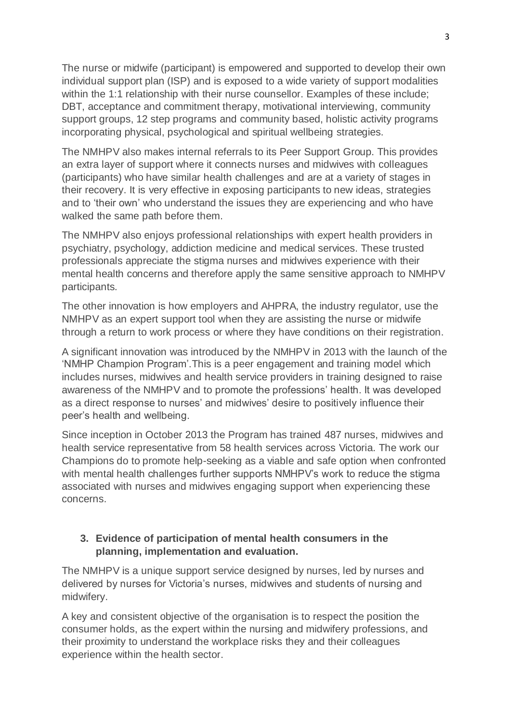The nurse or midwife (participant) is empowered and supported to develop their own individual support plan (ISP) and is exposed to a wide variety of support modalities within the 1:1 relationship with their nurse counsellor. Examples of these include: DBT, acceptance and commitment therapy, motivational interviewing, community support groups, 12 step programs and community based, holistic activity programs incorporating physical, psychological and spiritual wellbeing strategies.

The NMHPV also makes internal referrals to its Peer Support Group. This provides an extra layer of support where it connects nurses and midwives with colleagues (participants) who have similar health challenges and are at a variety of stages in their recovery. It is very effective in exposing participants to new ideas, strategies and to 'their own' who understand the issues they are experiencing and who have walked the same path before them.

The NMHPV also enjoys professional relationships with expert health providers in psychiatry, psychology, addiction medicine and medical services. These trusted professionals appreciate the stigma nurses and midwives experience with their mental health concerns and therefore apply the same sensitive approach to NMHPV participants.

The other innovation is how employers and AHPRA, the industry regulator, use the NMHPV as an expert support tool when they are assisting the nurse or midwife through a return to work process or where they have conditions on their registration.

A significant innovation was introduced by the NMHPV in 2013 with the launch of the 'NMHP Champion Program'.This is a peer engagement and training model which includes nurses, midwives and health service providers in training designed to raise awareness of the NMHPV and to promote the professions' health. It was developed as a direct response to nurses' and midwives' desire to positively influence their peer's health and wellbeing.

Since inception in October 2013 the Program has trained 487 nurses, midwives and health service representative from 58 health services across Victoria. The work our Champions do to promote help-seeking as a viable and safe option when confronted with mental health challenges further supports NMHPV's work to reduce the stigma associated with nurses and midwives engaging support when experiencing these concerns.

## **3. Evidence of participation of mental health consumers in the planning, implementation and evaluation.**

The NMHPV is a unique support service designed by nurses, led by nurses and delivered by nurses for Victoria's nurses, midwives and students of nursing and midwifery.

A key and consistent objective of the organisation is to respect the position the consumer holds, as the expert within the nursing and midwifery professions, and their proximity to understand the workplace risks they and their colleagues experience within the health sector.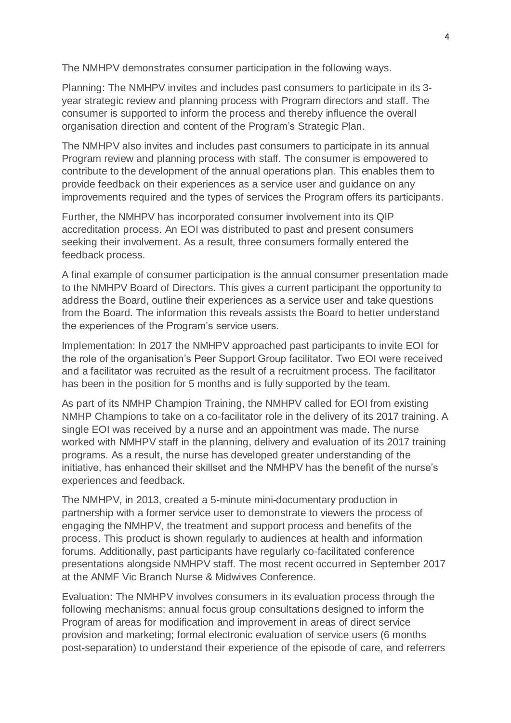The NMHPV demonstrates consumer participation in the following ways.

Planning: The NMHPV invites and includes past consumers to participate in its 3 year strategic review and planning process with Program directors and staff. The consumer is supported to inform the process and thereby influence the overall organisation direction and content of the Program's Strategic Plan.

The NMHPV also invites and includes past consumers to participate in its annual Program review and planning process with staff. The consumer is empowered to contribute to the development of the annual operations plan. This enables them to provide feedback on their experiences as a service user and guidance on any improvements required and the types of services the Program offers its participants.

Further, the NMHPV has incorporated consumer involvement into its QIP accreditation process. An EOI was distributed to past and present consumers seeking their involvement. As a result, three consumers formally entered the feedback process.

A final example of consumer participation is the annual consumer presentation made to the NMHPV Board of Directors. This gives a current participant the opportunity to address the Board, outline their experiences as a service user and take questions from the Board. The information this reveals assists the Board to better understand the experiences of the Program's service users.

Implementation: In 2017 the NMHPV approached past participants to invite EOI for the role of the organisation's Peer Support Group facilitator. Two EOI were received and a facilitator was recruited as the result of a recruitment process. The facilitator has been in the position for 5 months and is fully supported by the team.

As part of its NMHP Champion Training, the NMHPV called for EOI from existing NMHP Champions to take on a co-facilitator role in the delivery of its 2017 training. A single EOI was received by a nurse and an appointment was made. The nurse worked with NMHPV staff in the planning, delivery and evaluation of its 2017 training programs. As a result, the nurse has developed greater understanding of the initiative, has enhanced their skillset and the NMHPV has the benefit of the nurse's experiences and feedback.

The NMHPV, in 2013, created a 5-minute mini-documentary production in partnership with a former service user to demonstrate to viewers the process of engaging the NMHPV, the treatment and support process and benefits of the process. This product is shown regularly to audiences at health and information forums. Additionally, past participants have regularly co-facilitated conference presentations alongside NMHPV staff. The most recent occurred in September 2017 at the ANMF Vic Branch Nurse & Midwives Conference.

Evaluation: The NMHPV involves consumers in its evaluation process through the following mechanisms; annual focus group consultations designed to inform the Program of areas for modification and improvement in areas of direct service provision and marketing; formal electronic evaluation of service users (6 months post-separation) to understand their experience of the episode of care, and referrers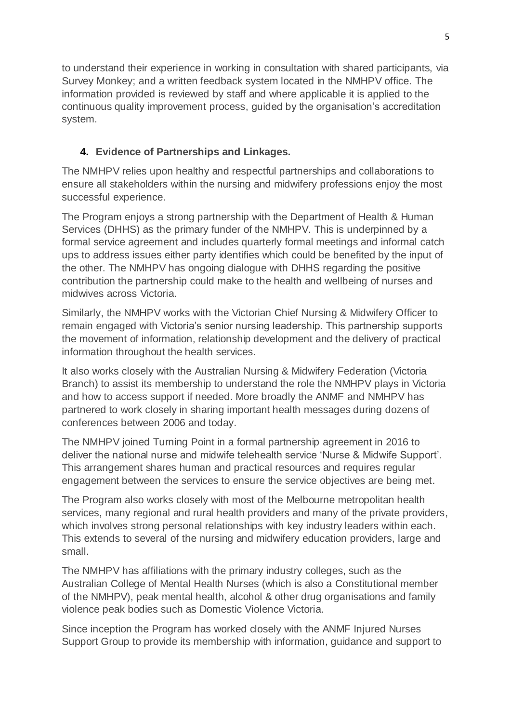to understand their experience in working in consultation with shared participants, via Survey Monkey; and a written feedback system located in the NMHPV office. The information provided is reviewed by staff and where applicable it is applied to the continuous quality improvement process, guided by the organisation's accreditation system.

## **4. Evidence of Partnerships and Linkages.**

The NMHPV relies upon healthy and respectful partnerships and collaborations to ensure all stakeholders within the nursing and midwifery professions enjoy the most successful experience.

The Program enjoys a strong partnership with the Department of Health & Human Services (DHHS) as the primary funder of the NMHPV. This is underpinned by a formal service agreement and includes quarterly formal meetings and informal catch ups to address issues either party identifies which could be benefited by the input of the other. The NMHPV has ongoing dialogue with DHHS regarding the positive contribution the partnership could make to the health and wellbeing of nurses and midwives across Victoria.

Similarly, the NMHPV works with the Victorian Chief Nursing & Midwifery Officer to remain engaged with Victoria's senior nursing leadership. This partnership supports the movement of information, relationship development and the delivery of practical information throughout the health services.

It also works closely with the Australian Nursing & Midwifery Federation (Victoria Branch) to assist its membership to understand the role the NMHPV plays in Victoria and how to access support if needed. More broadly the ANMF and NMHPV has partnered to work closely in sharing important health messages during dozens of conferences between 2006 and today.

The NMHPV joined Turning Point in a formal partnership agreement in 2016 to deliver the national nurse and midwife telehealth service 'Nurse & Midwife Support'. This arrangement shares human and practical resources and requires regular engagement between the services to ensure the service objectives are being met.

The Program also works closely with most of the Melbourne metropolitan health services, many regional and rural health providers and many of the private providers, which involves strong personal relationships with key industry leaders within each. This extends to several of the nursing and midwifery education providers, large and small.

The NMHPV has affiliations with the primary industry colleges, such as the Australian College of Mental Health Nurses (which is also a Constitutional member of the NMHPV), peak mental health, alcohol & other drug organisations and family violence peak bodies such as Domestic Violence Victoria.

Since inception the Program has worked closely with the ANMF Injured Nurses Support Group to provide its membership with information, guidance and support to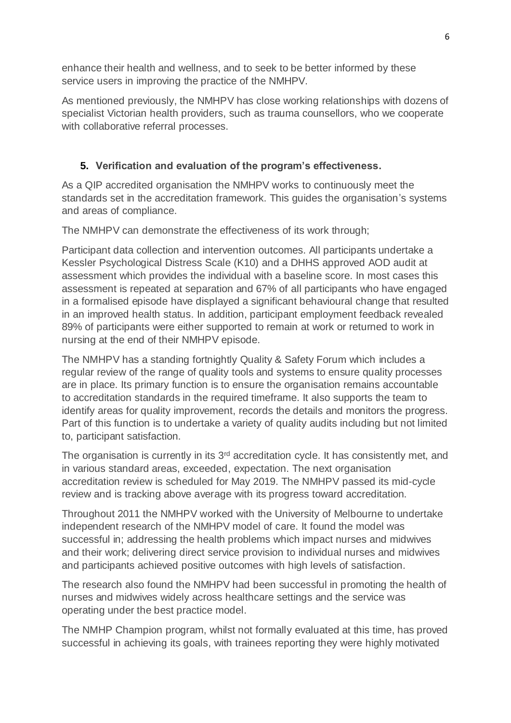enhance their health and wellness, and to seek to be better informed by these service users in improving the practice of the NMHPV.

As mentioned previously, the NMHPV has close working relationships with dozens of specialist Victorian health providers, such as trauma counsellors, who we cooperate with collaborative referral processes.

## **5. Verification and evaluation of the program's effectiveness.**

As a QIP accredited organisation the NMHPV works to continuously meet the standards set in the accreditation framework. This guides the organisation's systems and areas of compliance.

The NMHPV can demonstrate the effectiveness of its work through;

Participant data collection and intervention outcomes. All participants undertake a Kessler Psychological Distress Scale (K10) and a DHHS approved AOD audit at assessment which provides the individual with a baseline score. In most cases this assessment is repeated at separation and 67% of all participants who have engaged in a formalised episode have displayed a significant behavioural change that resulted in an improved health status. In addition, participant employment feedback revealed 89% of participants were either supported to remain at work or returned to work in nursing at the end of their NMHPV episode.

The NMHPV has a standing fortnightly Quality & Safety Forum which includes a regular review of the range of quality tools and systems to ensure quality processes are in place. Its primary function is to ensure the organisation remains accountable to accreditation standards in the required timeframe. It also supports the team to identify areas for quality improvement, records the details and monitors the progress. Part of this function is to undertake a variety of quality audits including but not limited to, participant satisfaction.

The organisation is currently in its 3<sup>rd</sup> accreditation cycle. It has consistently met, and in various standard areas, exceeded, expectation. The next organisation accreditation review is scheduled for May 2019. The NMHPV passed its mid-cycle review and is tracking above average with its progress toward accreditation.

Throughout 2011 the NMHPV worked with the University of Melbourne to undertake independent research of the NMHPV model of care. It found the model was successful in; addressing the health problems which impact nurses and midwives and their work; delivering direct service provision to individual nurses and midwives and participants achieved positive outcomes with high levels of satisfaction.

The research also found the NMHPV had been successful in promoting the health of nurses and midwives widely across healthcare settings and the service was operating under the best practice model.

The NMHP Champion program, whilst not formally evaluated at this time, has proved successful in achieving its goals, with trainees reporting they were highly motivated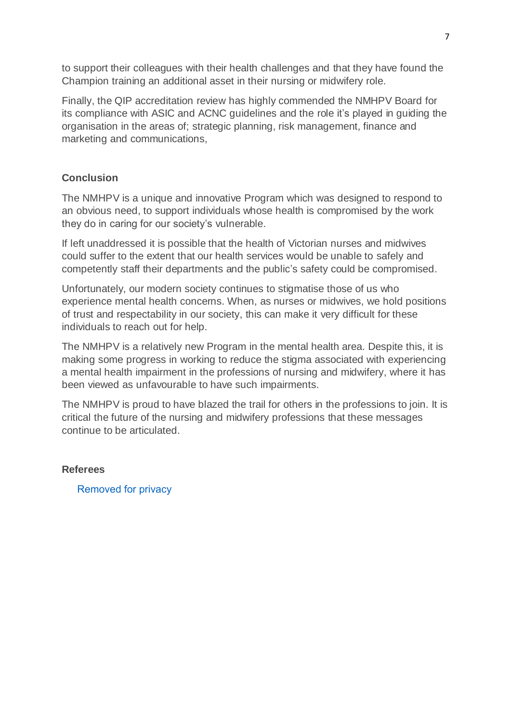to support their colleagues with their health challenges and that they have found the Champion training an additional asset in their nursing or midwifery role.

Finally, the QIP accreditation review has highly commended the NMHPV Board for its compliance with ASIC and ACNC guidelines and the role it's played in guiding the organisation in the areas of; strategic planning, risk management, finance and marketing and communications,

## **Conclusion**

The NMHPV is a unique and innovative Program which was designed to respond to an obvious need, to support individuals whose health is compromised by the work they do in caring for our society's vulnerable.

If left unaddressed it is possible that the health of Victorian nurses and midwives could suffer to the extent that our health services would be unable to safely and competently staff their departments and the public's safety could be compromised.

Unfortunately, our modern society continues to stigmatise those of us who experience mental health concerns. When, as nurses or midwives, we hold positions of trust and respectability in our society, this can make it very difficult for these individuals to reach out for help.

The NMHPV is a relatively new Program in the mental health area. Despite this, it is making some progress in working to reduce the stigma associated with experiencing a mental health impairment in the professions of nursing and midwifery, where it has been viewed as unfavourable to have such impairments.

The NMHPV is proud to have blazed the trail for others in the professions to join. It is critical the future of the nursing and midwifery professions that these messages continue to be articulated.

### **Referees**

Removed for privacy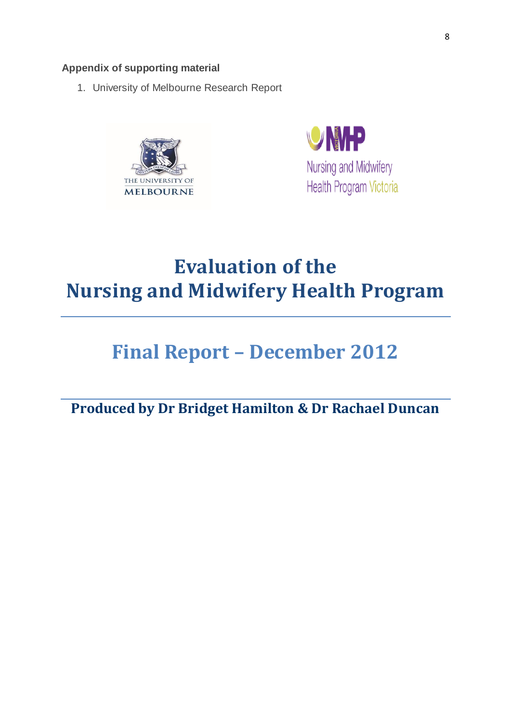## **Appendix of supporting material**

1. University of Melbourne Research Report





# **Evaluation of the Nursing and Midwifery Health Program**

# **Final Report – December 2012**

**Produced by Dr Bridget Hamilton & Dr Rachael Duncan**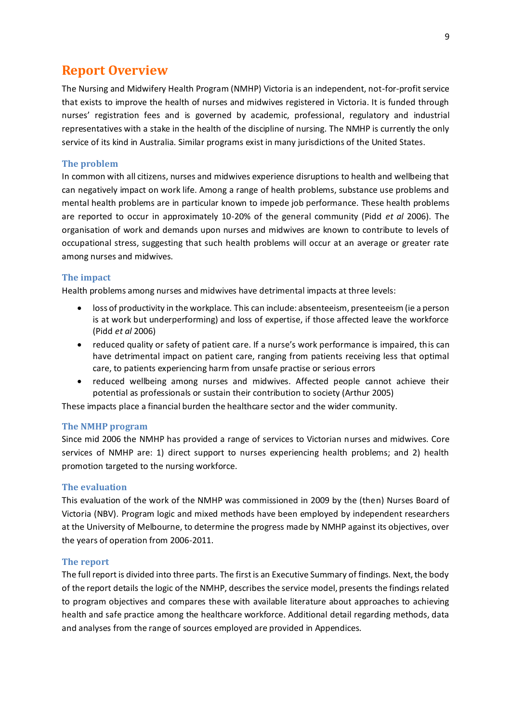## **Report Overview**

The Nursing and Midwifery Health Program (NMHP) Victoria is an independent, not-for-profit service that exists to improve the health of nurses and midwives registered in Victoria. It is funded through nurses' registration fees and is governed by academic, professional, regulatory and industrial representatives with a stake in the health of the discipline of nursing. The NMHP is currently the only service of its kind in Australia. Similar programs exist in many jurisdictions of the United States.

#### **The problem**

In common with all citizens, nurses and midwives experience disruptions to health and wellbeing that can negatively impact on work life. Among a range of health problems, substance use problems and mental health problems are in particular known to impede job performance. These health problems are reported to occur in approximately 10-20% of the general community (Pidd *et al* 2006). The organisation of work and demands upon nurses and midwives are known to contribute to levels of occupational stress, suggesting that such health problems will occur at an average or greater rate among nurses and midwives.

#### **The impact**

Health problems among nurses and midwives have detrimental impacts at three levels:

- loss of productivity in the workplace. This can include: absenteeism, presenteeism (ie a person is at work but underperforming) and loss of expertise, if those affected leave the workforce (Pidd *et al* 2006)
- reduced quality or safety of patient care. If a nurse's work performance is impaired, this can have detrimental impact on patient care, ranging from patients receiving less that optimal care, to patients experiencing harm from unsafe practise or serious errors
- reduced wellbeing among nurses and midwives. Affected people cannot achieve their potential as professionals or sustain their contribution to society (Arthur 2005)

These impacts place a financial burden the healthcare sector and the wider community.

#### **The NMHP program**

Since mid 2006 the NMHP has provided a range of services to Victorian nurses and midwives. Core services of NMHP are: 1) direct support to nurses experiencing health problems; and 2) health promotion targeted to the nursing workforce.

#### **The evaluation**

This evaluation of the work of the NMHP was commissioned in 2009 by the (then) Nurses Board of Victoria (NBV). Program logic and mixed methods have been employed by independent researchers at the University of Melbourne, to determine the progress made by NMHP against its objectives, over the years of operation from 2006-2011.

#### **The report**

The full report is divided into three parts. The first is an Executive Summary of findings. Next, the body of the report details the logic of the NMHP, describes the service model, presents the findings related to program objectives and compares these with available literature about approaches to achieving health and safe practice among the healthcare workforce. Additional detail regarding methods, data and analyses from the range of sources employed are provided in Appendices.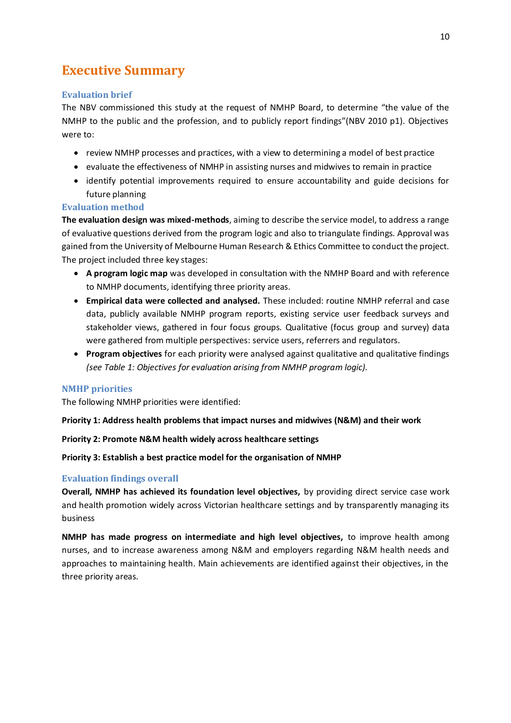## **Executive Summary**

#### **Evaluation brief**

The NBV commissioned this study at the request of NMHP Board, to determine "the value of the NMHP to the public and the profession, and to publicly report findings"(NBV 2010 p1). Objectives were to:

- review NMHP processes and practices, with a view to determining a model of best practice
- evaluate the effectiveness of NMHP in assisting nurses and midwives to remain in practice
- identify potential improvements required to ensure accountability and guide decisions for future planning

#### **Evaluation method**

**The evaluation design was mixed-methods**, aiming to describe the service model, to address a range of evaluative questions derived from the program logic and also to triangulate findings. Approval was gained from the University of Melbourne Human Research & Ethics Committee to conduct the project. The project included three key stages:

- **A program logic map** was developed in consultation with the NMHP Board and with reference to NMHP documents, identifying three priority areas.
- **Empirical data were collected and analysed.** These included: routine NMHP referral and case data, publicly available NMHP program reports, existing service user feedback surveys and stakeholder views, gathered in four focus groups. Qualitative (focus group and survey) data were gathered from multiple perspectives: service users, referrers and regulators.
- **Program objectives** for each priority were analysed against qualitative and qualitative findings *(see Table 1: Objectives for evaluation arising from NMHP program logic).*

#### **NMHP priorities**

The following NMHP priorities were identified:

**Priority 1: Address health problems that impact nurses and midwives (N&M) and their work**

#### **Priority 2: Promote N&M health widely across healthcare settings**

#### **Priority 3: Establish a best practice model for the organisation of NMHP**

#### **Evaluation findings overall**

**Overall, NMHP has achieved its foundation level objectives,** by providing direct service case work and health promotion widely across Victorian healthcare settings and by transparently managing its business

**NMHP has made progress on intermediate and high level objectives,** to improve health among nurses, and to increase awareness among N&M and employers regarding N&M health needs and approaches to maintaining health. Main achievements are identified against their objectives, in the three priority areas.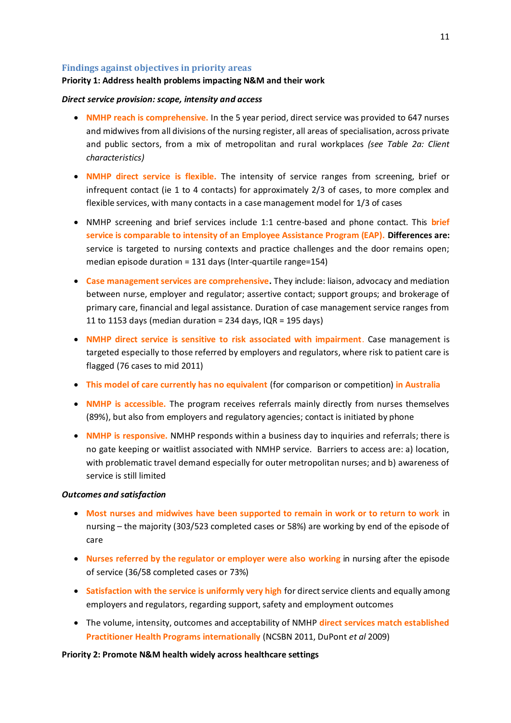#### **Findings against objectives in priority areas**

#### **Priority 1: Address health problems impacting N&M and their work**

#### *Direct service provision: scope, intensity and access*

- **NMHP reach is comprehensive.** In the 5 year period, direct service was provided to 647 nurses and midwives from all divisions of the nursing register, all areas of specialisation, across private and public sectors, from a mix of metropolitan and rural workplaces *(see Table 2a: Client characteristics)*
- **NMHP direct service is flexible.** The intensity of service ranges from screening, brief or infrequent contact (ie 1 to 4 contacts) for approximately 2/3 of cases, to more complex and flexible services, with many contacts in a case management model for 1/3 of cases
- NMHP screening and brief services include 1:1 centre-based and phone contact. This **brief service is comparable to intensity of an Employee Assistance Program (EAP). Differences are:** service is targeted to nursing contexts and practice challenges and the door remains open; median episode duration = 131 days (Inter-quartile range=154)
- **Case management services are comprehensive.** They include: liaison, advocacy and mediation between nurse, employer and regulator; assertive contact; support groups; and brokerage of primary care, financial and legal assistance. Duration of case management service ranges from 11 to 1153 days (median duration = 234 days,  $IQR = 195$  days)
- **NMHP direct service is sensitive to risk associated with impairment**. Case management is targeted especially to those referred by employers and regulators, where risk to patient care is flagged (76 cases to mid 2011)
- **This model of care currently has no equivalent** (for comparison or competition) **in Australia**
- **NMHP is accessible.** The program receives referrals mainly directly from nurses themselves (89%), but also from employers and regulatory agencies; contact is initiated by phone
- **NMHP is responsive.** NMHP responds within a business day to inquiries and referrals; there is no gate keeping or waitlist associated with NMHP service. Barriers to access are: a) location, with problematic travel demand especially for outer metropolitan nurses; and b) awareness of service is still limited

#### *Outcomes and satisfaction*

- **Most nurses and midwives have been supported to remain in work or to return to work** in nursing – the majority (303/523 completed cases or 58%) are working by end of the episode of care
- **Nurses referred by the regulator or employer were also working** in nursing after the episode of service (36/58 completed cases or 73%)
- **Satisfaction with the service is uniformly very high** for direct service clients and equally among employers and regulators, regarding support, safety and employment outcomes
- The volume, intensity, outcomes and acceptability of NMHP **direct services match established Practitioner Health Programs internationally** (NCSBN 2011, DuPont *et al* 2009)

#### **Priority 2: Promote N&M health widely across healthcare settings**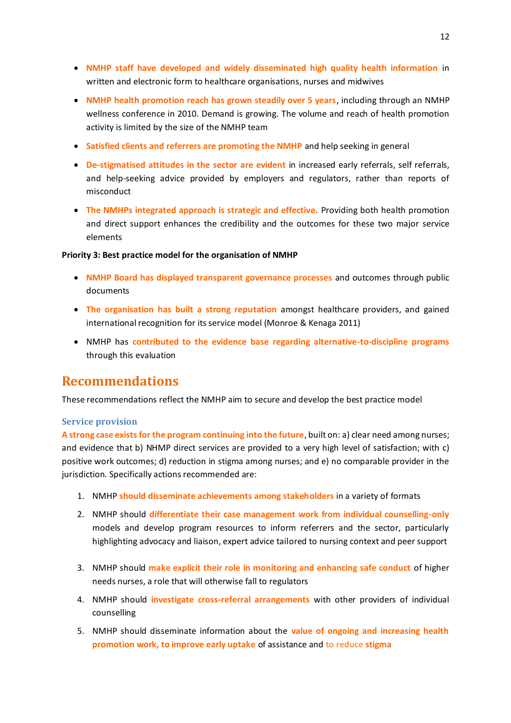- **NMHP staff have developed and widely disseminated high quality health information** in written and electronic form to healthcare organisations, nurses and midwives
- **NMHP health promotion reach has grown steadily over 5 years**, including through an NMHP wellness conference in 2010. Demand is growing. The volume and reach of health promotion activity is limited by the size of the NMHP team
- **Satisfied clients and referrers are promoting the NMHP** and help seeking in general
- **De-stigmatised attitudes in the sector are evident** in increased early referrals, self referrals, and help-seeking advice provided by employers and regulators, rather than reports of misconduct
- **The NMHPs integrated approach is strategic and effective.** Providing both health promotion and direct support enhances the credibility and the outcomes for these two major service elements

#### **Priority 3: Best practice model for the organisation of NMHP**

- **NMHP Board has displayed transparent governance processes** and outcomes through public documents
- **The organisation has built a strong reputation** amongst healthcare providers, and gained international recognition for its service model (Monroe & Kenaga 2011)
- NMHP has **contributed to the evidence base regarding alternative-to-discipline programs** through this evaluation

## **Recommendations**

These recommendations reflect the NMHP aim to secure and develop the best practice model

#### **Service provision**

**A strong case exists for the program continuing into the future**, built on: a) clear need among nurses; and evidence that b) NHMP direct services are provided to a very high level of satisfaction; with c) positive work outcomes; d) reduction in stigma among nurses; and e) no comparable provider in the jurisdiction. Specifically actions recommended are:

- 1. NMHP **should disseminate achievements among stakeholders** in a variety of formats
- 2. NMHP should **differentiate their case management work from individual counselling-only**  models and develop program resources to inform referrers and the sector, particularly highlighting advocacy and liaison, expert advice tailored to nursing context and peer support
- 3. NMHP should **make explicit their role in monitoring and enhancing safe conduct** of higher needs nurses, a role that will otherwise fall to regulators
- 4. NMHP should **investigate cross-referral arrangements** with other providers of individual counselling
- 5. NMHP should disseminate information about the **value of ongoing and increasing health promotion work, to improve early uptake** of assistance and **to reduce stigma**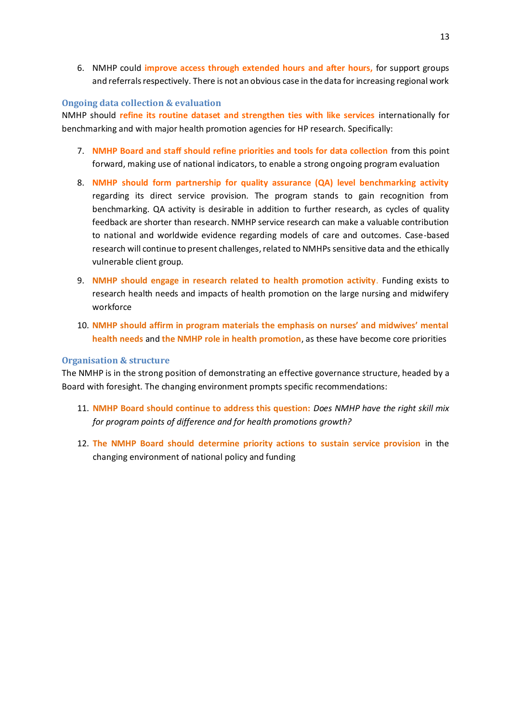6. NMHP could **improve access through extended hours and after hours,** for support groups and referrals respectively. There is not an obvious case in the data for increasing regional work

#### **Ongoing data collection & evaluation**

NMHP should **refine its routine dataset and strengthen ties with like services** internationally for benchmarking and with major health promotion agencies for HP research. Specifically:

- 7. **NMHP Board and staff should refine priorities and tools for data collection** from this point forward, making use of national indicators, to enable a strong ongoing program evaluation
- 8. **NMHP should form partnership for quality assurance (QA) level benchmarking activity**  regarding its direct service provision. The program stands to gain recognition from benchmarking. QA activity is desirable in addition to further research, as cycles of quality feedback are shorter than research. NMHP service research can make a valuable contribution to national and worldwide evidence regarding models of care and outcomes. Case-based research will continue to present challenges, related to NMHPs sensitive data and the ethically vulnerable client group.
- 9. **NMHP should engage in research related to health promotion activity**. Funding exists to research health needs and impacts of health promotion on the large nursing and midwifery workforce
- 10. **NMHP should affirm in program materials the emphasis on nurses' and midwives' mental health needs** and **the NMHP role in health promotion**, as these have become core priorities

#### **Organisation & structure**

The NMHP is in the strong position of demonstrating an effective governance structure, headed by a Board with foresight. The changing environment prompts specific recommendations:

- 11. **NMHP Board should continue to address this question:** *Does NMHP have the right skill mix for program points of difference and for health promotions growth?*
- 12. **The NMHP Board should determine priority actions to sustain service provision** in the changing environment of national policy and funding